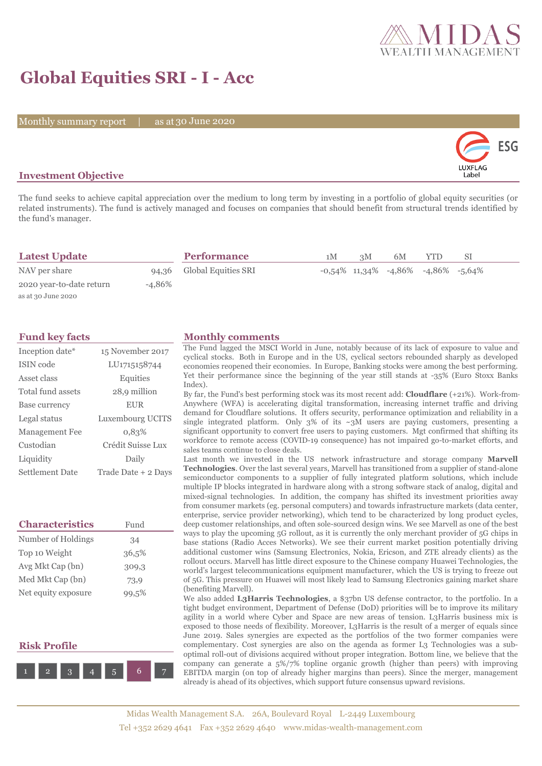

# **Global Equities SRI - I - Acc**

Monthly summary report | as at 30 June 2020



### **Investment Objective**

The fund seeks to achieve capital appreciation over the medium to long term by investing in a portfolio of global equity securities (or related instruments). The fund is actively managed and focuses on companies that should benefit from structural trends identified by the fund's manager.

| <b>Latest Update</b>     |        | <b>Performance</b>        | 1M | 3M | 6M | <b>YTD</b>                                     | -SI |  |
|--------------------------|--------|---------------------------|----|----|----|------------------------------------------------|-----|--|
| NAV per share            |        | 94,36 Global Equities SRI |    |    |    | $-0.54\%$ 11,34% $-4.86\%$ $-4.86\%$ $-5.64\%$ |     |  |
| 2020 year-to-date return | -4.86% |                           |    |    |    |                                                |     |  |
| as at 30 June 2020       |        |                           |    |    |    |                                                |     |  |

| Inception date*       | 15 November 2017    |
|-----------------------|---------------------|
| ISIN code             | LU1715158744        |
| Asset class           | Equities            |
| Total fund assets     | 28,9 million        |
| Base currency         | <b>EUR</b>          |
| Legal status          | Luxembourg UCITS    |
| <b>Management Fee</b> | 0.83%               |
| Custodian             | Crédit Suisse Lux   |
| Liquidity             | Daily               |
| Settlement Date       | Trade Date + 2 Days |

| <b>Characteristics</b> | Fund  |  |  |
|------------------------|-------|--|--|
| Number of Holdings     | 34    |  |  |
| Top 10 Weight          | 36,5% |  |  |
| Avg Mkt Cap (bn)       | 309,3 |  |  |
| Med Mkt Cap (bn)       | 73,9  |  |  |
| Net equity exposure    | 99,5% |  |  |

### **Risk Profile**



#### **Fund key facts Monthly comments**

The Fund lagged the MSCI World in June, notably because of its lack of exposure to value and cyclical stocks. Both in Europe and in the US, cyclical sectors rebounded sharply as developed economies reopened their economies. In Europe, Banking stocks were among the best performing. Yet their performance since the beginning of the year still stands at -35% (Euro Stoxx Banks Index).

By far, the Fund's best performing stock was its most recent add: **Cloudflare** (+21%). Work-from-Anywhere (WFA) is accelerating digital transformation, increasing internet traffic and driving demand for Cloudflare solutions. It offers security, performance optimization and reliability in a single integrated platform. Only  $3\%$  of its  $\sim 3$ M users are paying customers, presenting a significant opportunity to convert free users to paying customers. Mgt confirmed that shifting its workforce to remote access (COVID-19 consequence) has not impaired go-to-market efforts, and sales teams continue to close deals.

Last month we invested in the US network infrastructure and storage company **Marvell Technologies**. Over the last several years, Marvell has transitioned from a supplier of stand-alone semiconductor components to a supplier of fully integrated platform solutions, which include multiple IP blocks integrated in hardware along with a strong software stack of analog, digital and mixed-signal technologies. In addition, the company has shifted its investment priorities away from consumer markets (eg. personal computers) and towards infrastructure markets (data center, enterprise, service provider networking), which tend to be characterized by long product cycles, deep customer relationships, and often sole-sourced design wins. We see Marvell as one of the best ways to play the upcoming 5G rollout, as it is currently the only merchant provider of 5G chips in base stations (Radio Acces Networks). We see their current market position potentially driving additional customer wins (Samsung Electronics, Nokia, Ericson, and ZTE already clients) as the rollout occurs. Marvell has little direct exposure to the Chinese company Huawei Technologies, the world's largest telecommunications equipment manufacturer, which the US is trying to freeze out of 5G. This pressure on Huawei will most likely lead to Samsung Electronics gaining market share (benefiting Marvell).

We also added **L3Harris Technologies**, a \$37bn US defense contractor, to the portfolio. In a tight budget environment, Department of Defense (DoD) priorities will be to improve its military agility in a world where Cyber and Space are new areas of tension. L3Harris business mix is exposed to those needs of flexibility. Moreover, L3Harris is the result of a merger of equals since June 2019. Sales synergies are expected as the portfolios of the two former companies were complementary. Cost synergies are also on the agenda as former L3 Technologies was a suboptimal roll-out of divisions acquired without proper integration. Bottom line, we believe that the company can generate a 5%/7% topline organic growth (higher than peers) with improving EBITDA margin (on top of already higher margins than peers). Since the merger, management already is ahead of its objectives, which support future consensus upward revisions.